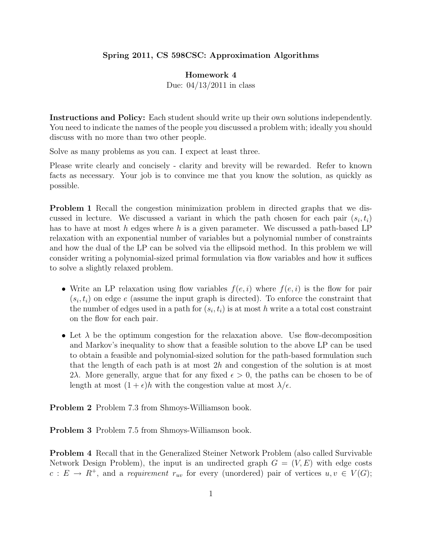## Spring 2011, CS 598CSC: Approximation Algorithms

## Homework 4

Due: 04/13/2011 in class

Instructions and Policy: Each student should write up their own solutions independently. You need to indicate the names of the people you discussed a problem with; ideally you should discuss with no more than two other people.

Solve as many problems as you can. I expect at least three.

Please write clearly and concisely - clarity and brevity will be rewarded. Refer to known facts as necessary. Your job is to convince me that you know the solution, as quickly as possible.

Problem 1 Recall the congestion minimization problem in directed graphs that we discussed in lecture. We discussed a variant in which the path chosen for each pair  $(s_i, t_i)$ has to have at most h edges where h is a given parameter. We discussed a path-based LP relaxation with an exponential number of variables but a polynomial number of constraints and how the dual of the LP can be solved via the ellipsoid method. In this problem we will consider writing a polynomial-sized primal formulation via flow variables and how it suffices to solve a slightly relaxed problem.

- Write an LP relaxation using flow variables  $f(e, i)$  where  $f(e, i)$  is the flow for pair  $(s_i, t_i)$  on edge e (assume the input graph is directed). To enforce the constraint that the number of edges used in a path for  $(s_i, t_i)$  is at most h write a a total cost constraint on the flow for each pair.
- Let  $\lambda$  be the optimum congestion for the relaxation above. Use flow-decomposition and Markov's inequality to show that a feasible solution to the above LP can be used to obtain a feasible and polynomial-sized solution for the path-based formulation such that the length of each path is at most 2h and congestion of the solution is at most 2λ. More generally, argue that for any fixed  $\epsilon > 0$ , the paths can be chosen to be of length at most  $(1 + \epsilon)h$  with the congestion value at most  $\lambda/\epsilon$ .

Problem 2 Problem 7.3 from Shmoys-Williamson book.

Problem 3 Problem 7.5 from Shmoys-Williamson book.

Problem 4 Recall that in the Generalized Steiner Network Problem (also called Survivable Network Design Problem), the input is an undirected graph  $G = (V, E)$  with edge costs  $c: E \to R^+$ , and a *requirement*  $r_{uv}$  for every (unordered) pair of vertices  $u, v \in V(G)$ ;